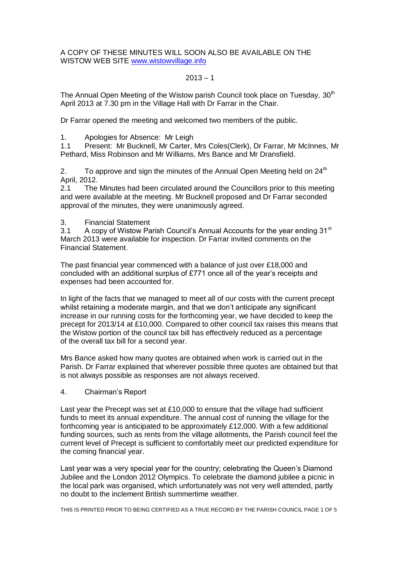A COPY OF THESE MINUTES WILL SOON ALSO BE AVAILABLE ON THE WISTOW WEB SITE [www.wistowvillage.info](http://www.wistowvillage.info/)

# $2013 - 1$

The Annual Open Meeting of the Wistow parish Council took place on Tuesday,  $30<sup>th</sup>$ April 2013 at 7.30 pm in the Village Hall with Dr Farrar in the Chair.

Dr Farrar opened the meeting and welcomed two members of the public.

1. Apologies for Absence: Mr Leigh

1.1 Present: Mr Bucknell, Mr Carter, Mrs Coles(Clerk), Dr Farrar, Mr McInnes, Mr Pethard, Miss Robinson and Mr Williams, Mrs Bance and Mr Dransfield.

2. To approve and sign the minutes of the Annual Open Meeting held on  $24<sup>th</sup>$ April, 2012.

2.1 The Minutes had been circulated around the Councillors prior to this meeting and were available at the meeting. Mr Bucknell proposed and Dr Farrar seconded approval of the minutes, they were unanimously agreed.

3. Financial Statement

3.1 A copy of Wistow Parish Council's Annual Accounts for the year ending 31<sup>st</sup> March 2013 were available for inspection. Dr Farrar invited comments on the Financial Statement.

The past financial year commenced with a balance of just over £18,000 and concluded with an additional surplus of £771 once all of the year's receipts and expenses had been accounted for.

In light of the facts that we managed to meet all of our costs with the current precept whilst retaining a moderate margin, and that we don't anticipate any significant increase in our running costs for the forthcoming year, we have decided to keep the precept for 2013/14 at £10,000. Compared to other council tax raises this means that the Wistow portion of the council tax bill has effectively reduced as a percentage of the overall tax bill for a second year.

Mrs Bance asked how many quotes are obtained when work is carried out in the Parish. Dr Farrar explained that wherever possible three quotes are obtained but that is not always possible as responses are not always received.

# 4. Chairman's Report

Last year the Precept was set at £10,000 to ensure that the village had sufficient funds to meet its annual expenditure. The annual cost of running the village for the forthcoming year is anticipated to be approximately £12,000. With a few additional funding sources, such as rents from the village allotments, the Parish council feel the current level of Precept is sufficient to comfortably meet our predicted expenditure for the coming financial year.

Last year was a very special year for the country; celebrating the Queen's Diamond Jubilee and the London 2012 Olympics. To celebrate the diamond jubilee a picnic in the local park was organised, which unfortunately was not very well attended, partly no doubt to the inclement British summertime weather.

THIS IS PRINTED PRIOR TO BEING CERTIFIED AS A TRUE RECORD BY THE PARISH COUNCIL PAGE 1 OF 5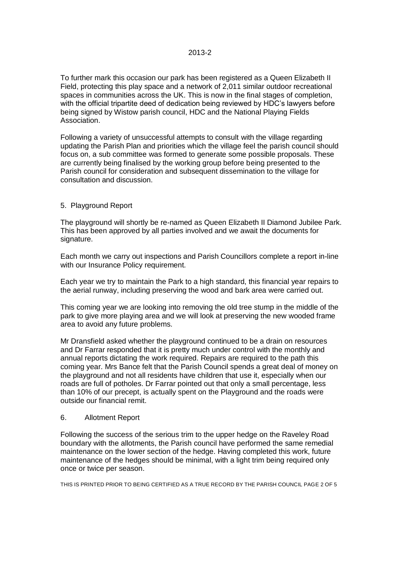To further mark this occasion our park has been registered as a Queen Elizabeth II Field, protecting this play space and a network of 2,011 similar outdoor recreational spaces in communities across the UK. This is now in the final stages of completion, with the official tripartite deed of dedication being reviewed by HDC's lawyers before being signed by Wistow parish council, HDC and the National Playing Fields Association.

Following a variety of unsuccessful attempts to consult with the village regarding updating the Parish Plan and priorities which the village feel the parish council should focus on, a sub committee was formed to generate some possible proposals. These are currently being finalised by the working group before being presented to the Parish council for consideration and subsequent dissemination to the village for consultation and discussion.

# 5. Playground Report

The playground will shortly be re-named as Queen Elizabeth II Diamond Jubilee Park. This has been approved by all parties involved and we await the documents for signature.

Each month we carry out inspections and Parish Councillors complete a report in-line with our Insurance Policy requirement.

Each year we try to maintain the Park to a high standard, this financial year repairs to the aerial runway, including preserving the wood and bark area were carried out.

This coming year we are looking into removing the old tree stump in the middle of the park to give more playing area and we will look at preserving the new wooded frame area to avoid any future problems.

Mr Dransfield asked whether the playground continued to be a drain on resources and Dr Farrar responded that it is pretty much under control with the monthly and annual reports dictating the work required. Repairs are required to the path this coming year. Mrs Bance felt that the Parish Council spends a great deal of money on the playground and not all residents have children that use it, especially when our roads are full of potholes. Dr Farrar pointed out that only a small percentage, less than 10% of our precept, is actually spent on the Playground and the roads were outside our financial remit.

### 6. Allotment Report

Following the success of the serious trim to the upper hedge on the Raveley Road boundary with the allotments, the Parish council have performed the same remedial maintenance on the lower section of the hedge. Having completed this work, future maintenance of the hedges should be minimal, with a light trim being required only once or twice per season.

THIS IS PRINTED PRIOR TO BEING CERTIFIED AS A TRUE RECORD BY THE PARISH COUNCIL PAGE 2 OF 5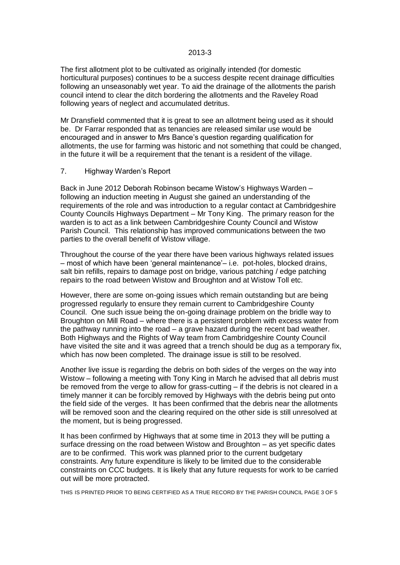#### 2013-3

The first allotment plot to be cultivated as originally intended (for domestic horticultural purposes) continues to be a success despite recent drainage difficulties following an unseasonably wet year. To aid the drainage of the allotments the parish council intend to clear the ditch bordering the allotments and the Raveley Road following years of neglect and accumulated detritus.

Mr Dransfield commented that it is great to see an allotment being used as it should be. Dr Farrar responded that as tenancies are released similar use would be encouraged and in answer to Mrs Bance's question regarding qualification for allotments, the use for farming was historic and not something that could be changed, in the future it will be a requirement that the tenant is a resident of the village.

#### 7. Highway Warden's Report

Back in June 2012 Deborah Robinson became Wistow's Highways Warden – following an induction meeting in August she gained an understanding of the requirements of the role and was introduction to a regular contact at Cambridgeshire County Councils Highways Department – Mr Tony King. The primary reason for the warden is to act as a link between Cambridgeshire County Council and Wistow Parish Council. This relationship has improved communications between the two parties to the overall benefit of Wistow village.

Throughout the course of the year there have been various highways related issues – most of which have been 'general maintenance'– i.e. pot-holes, blocked drains, salt bin refills, repairs to damage post on bridge, various patching / edge patching repairs to the road between Wistow and Broughton and at Wistow Toll etc.

However, there are some on-going issues which remain outstanding but are being progressed regularly to ensure they remain current to Cambridgeshire County Council. One such issue being the on-going drainage problem on the bridle way to Broughton on Mill Road – where there is a persistent problem with excess water from the pathway running into the road – a grave hazard during the recent bad weather. Both Highways and the Rights of Way team from Cambridgeshire County Council have visited the site and it was agreed that a trench should be dug as a temporary fix, which has now been completed. The drainage issue is still to be resolved.

Another live issue is regarding the debris on both sides of the verges on the way into Wistow – following a meeting with Tony King in March he advised that all debris must be removed from the verge to allow for grass-cutting – if the debris is not cleared in a timely manner it can be forcibly removed by Highways with the debris being put onto the field side of the verges. It has been confirmed that the debris near the allotments will be removed soon and the clearing required on the other side is still unresolved at the moment, but is being progressed.

It has been confirmed by Highways that at some time in 2013 they will be putting a surface dressing on the road between Wistow and Broughton – as yet specific dates are to be confirmed. This work was planned prior to the current budgetary constraints. Any future expenditure is likely to be limited due to the considerable constraints on CCC budgets. It is likely that any future requests for work to be carried out will be more protracted.

THIS IS PRINTED PRIOR TO BEING CERTIFIED AS A TRUE RECORD BY THE PARISH COUNCIL PAGE 3 OF 5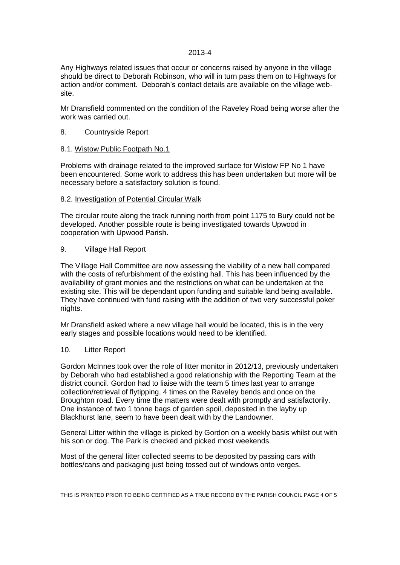# 2013-4

Any Highways related issues that occur or concerns raised by anyone in the village should be direct to Deborah Robinson, who will in turn pass them on to Highways for action and/or comment. Deborah's contact details are available on the village website.

Mr Dransfield commented on the condition of the Raveley Road being worse after the work was carried out.

### 8. Countryside Report

### 8.1. Wistow Public Footpath No.1

Problems with drainage related to the improved surface for Wistow FP No 1 have been encountered. Some work to address this has been undertaken but more will be necessary before a satisfactory solution is found.

#### 8.2. Investigation of Potential Circular Walk

The circular route along the track running north from point 1175 to Bury could not be developed. Another possible route is being investigated towards Upwood in cooperation with Upwood Parish.

### 9. Village Hall Report

The Village Hall Committee are now assessing the viability of a new hall compared with the costs of refurbishment of the existing hall. This has been influenced by the availability of grant monies and the restrictions on what can be undertaken at the existing site. This will be dependant upon funding and suitable land being available. They have continued with fund raising with the addition of two very successful poker nights.

Mr Dransfield asked where a new village hall would be located, this is in the very early stages and possible locations would need to be identified.

# 10. Litter Report

Gordon McInnes took over the role of litter monitor in 2012/13, previously undertaken by Deborah who had established a good relationship with the Reporting Team at the district council. Gordon had to liaise with the team 5 times last year to arrange collection/retrieval of flytipping, 4 times on the Raveley bends and once on the Broughton road. Every time the matters were dealt with promptly and satisfactorily. One instance of two 1 tonne bags of garden spoil, deposited in the layby up Blackhurst lane, seem to have been dealt with by the Landowner.

General Litter within the village is picked by Gordon on a weekly basis whilst out with his son or dog. The Park is checked and picked most weekends.

Most of the general litter collected seems to be deposited by passing cars with bottles/cans and packaging just being tossed out of windows onto verges.

THIS IS PRINTED PRIOR TO BEING CERTIFIED AS A TRUE RECORD BY THE PARISH COUNCIL PAGE 4 OF 5